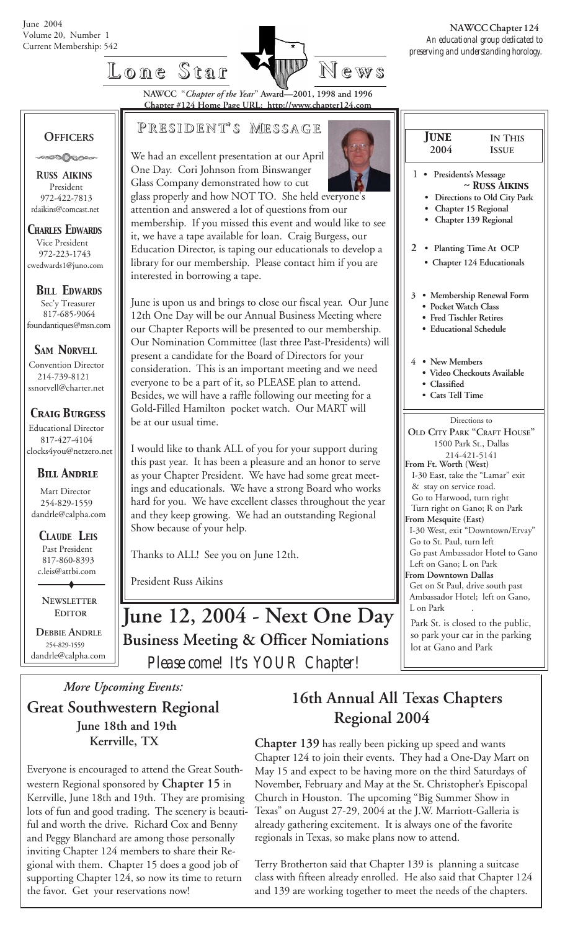

**Lone Star Lone Star News**

**NAWCC "***Chapter of the Year***" Award—2001, 1998 and 1996 Chapter #124 Home Page URL: http://www.chapter124.com**

#### **OFFICERS**

**ONOOOOO** 

 **R***USS* **A***IKINS* President 972-422-7813 rdaikins@comcast.net

*CHARLES EDWARDS* Vice President 972-223-1743 cwedwards1@juno.com

*BILL EDWARDS* Sec'y Treasurer 817-685-9064 foundantiques@msn.com

**SAM NORVELL** Convention Director 214-739-8121 ssnorvell@charter.net

*Craig Burgess*

 Educational Director 817-427-4104 clocks4you@netzero.net

#### *Bill Andrle*

 Mart Director 254-829-1559 dandrle@calpha.com

 *CLAUDE LEIS* Past President 817-860-8393 c.leis@attbi.com

 **NEWSLETTER EDITOR**

 **DEBBIE ANDRLE** 254-829-1559 dandrle@calpha.com

### **P RESIDENT RESIDENT' S M ESSAGE**

We had an excellent presentation at our April One Day. Cori Johnson from Binswanger Glass Company demonstrated how to cut

glass properly and how NOT TO. She held everyone's attention and answered a lot of questions from our membership. If you missed this event and would like to see it, we have a tape available for loan. Craig Burgess, our Education Director, is taping our educationals to develop a library for our membership. Please contact him if you are interested in borrowing a tape.

June is upon us and brings to close our fiscal year. Our June 12th One Day will be our Annual Business Meeting where our Chapter Reports will be presented to our membership. Our Nomination Committee (last three Past-Presidents) will present a candidate for the Board of Directors for your consideration. This is an important meeting and we need everyone to be a part of it, so PLEASE plan to attend. Besides, we will have a raffle following our meeting for a Gold-Filled Hamilton pocket watch. Our MART will be at our usual time.

I would like to thank ALL of you for your support during this past year. It has been a pleasure and an honor to serve as your Chapter President. We have had some great meetings and educationals. We have a strong Board who works hard for you. We have excellent classes throughout the year and they keep growing. We had an outstanding Regional Show because of your help.

Thanks to ALL! See you on June 12th.

President Russ Aikins



 1 **• Presidents's Message** *~ Russ Aikins*

 *June* **2004**

 **• Directions to Old City Park**

**IN THIS ISSUE**

- **Chapter 15 Regional • Chapter 139 Regional**
- 
- **2 Planting Time At OCP**
	- **Chapter 124 Educationals**
- **3 Membership Renewal Form • Pocket Watch Class**
	- **Fred Tischler Retires**
	- **Educational Schedule**
- **4 New Members**
	- **Video Checkouts Available**
	- **Classified**
	- **Cats Tell Time**

Directions to **OLD CITY PARK "CRAFT HOUSE"** 1500 Park St., Dallas 214-421-5141 **From Ft. Worth (West)** I-30 East, take the "Lamar" exit & stay on service road. Go to Harwood, turn right Turn right on Gano; R on Park **From Mesquite (East)** I-30 West, exit "Downtown/Ervay" Go to St. Paul, turn left Go past Ambassador Hotel to Gano Left on Gano; L on Park **From Downtown Dallas** Get on St Paul, drive south past Ambassador Hotel; left on Gano, L on Park Park St. is closed to the public, so park your car in the parking lot at Gano and Park

 *Please come! It's YOUR Chapter!* **June 12, 2004 - Next One Day Business Meeting & Officer Nomiations**

### **Great Southwestern Regional June 18th and 19th Kerrville, TX**

Everyone is encouraged to attend the Great Southwestern Regional sponsored by **Chapter 15** in Kerrville, June 18th and 19th. They are promising lots of fun and good trading. The scenery is beautiful and worth the drive. Richard Cox and Benny and Peggy Blanchard are among those personally inviting Chapter 124 members to share their Regional with them. Chapter 15 does a good job of supporting Chapter 124, so now its time to return the favor. Get your reservations now!

## *More Upcoming Events:* **16th Annual All Texas Chapters Regional 2004**

**Chapter 139** has really been picking up speed and wants Chapter 124 to join their events. They had a One-Day Mart on May 15 and expect to be having more on the third Saturdays of November, February and May at the St. Christopher's Episcopal Church in Houston. The upcoming "Big Summer Show in Texas" on August 27-29, 2004 at the J.W. Marriott-Galleria is already gathering excitement. It is always one of the favorite regionals in Texas, so make plans now to attend.

Terry Brotherton said that Chapter 139 is planning a suitcase class with fifteen already enrolled. He also said that Chapter 124 and 139 are working together to meet the needs of the chapters.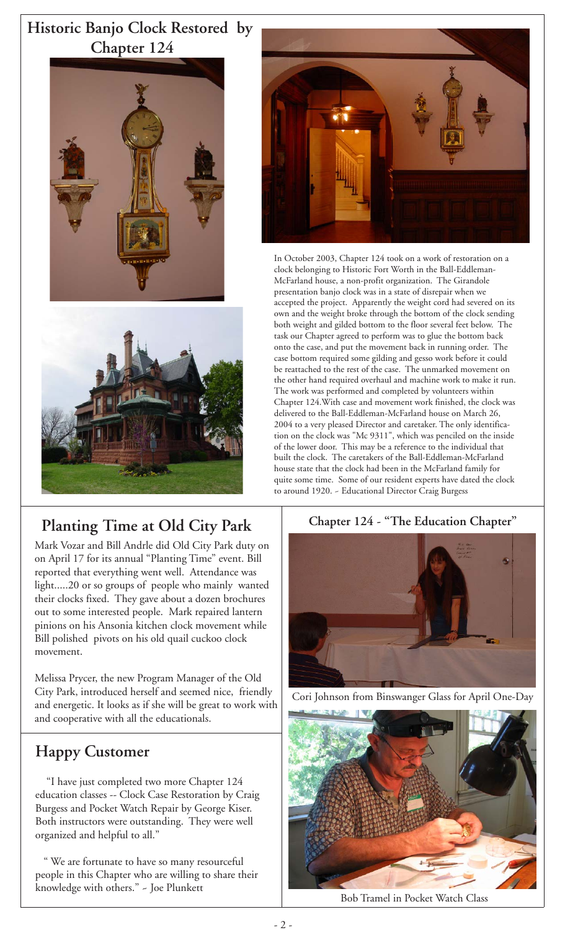### **Historic Banjo Clock Restored by Chapter 124**





### **Planting Time at Old City Park**

Mark Vozar and Bill Andrle did Old City Park duty on on April 17 for its annual "Planting Time" event. Bill reported that everything went well. Attendance was light.....20 or so groups of people who mainly wanted their clocks fixed. They gave about a dozen brochures out to some interested people. Mark repaired lantern pinions on his Ansonia kitchen clock movement while Bill polished pivots on his old quail cuckoo clock movement.

Melissa Prycer, the new Program Manager of the Old City Park, introduced herself and seemed nice, friendly and energetic. It looks as if she will be great to work with and cooperative with all the educationals.

### **Happy Customer**

 "I have just completed two more Chapter 124 education classes -- Clock Case Restoration by Craig Burgess and Pocket Watch Repair by George Kiser. Both instructors were outstanding. They were well organized and helpful to all."

 " We are fortunate to have so many resourceful people in this Chapter who are willing to share their knowledge with others." ~ Joe Plunkett



In October 2003, Chapter 124 took on a work of restoration on a clock belonging to Historic Fort Worth in the Ball-Eddleman-McFarland house, a non-profit organization. The Girandole presentation banjo clock was in a state of disrepair when we accepted the project. Apparently the weight cord had severed on its own and the weight broke through the bottom of the clock sending both weight and gilded bottom to the floor several feet below. The task our Chapter agreed to perform was to glue the bottom back onto the case, and put the movement back in running order. The case bottom required some gilding and gesso work before it could be reattached to the rest of the case. The unmarked movement on the other hand required overhaul and machine work to make it run. The work was performed and completed by volunteers within Chapter 124.With case and movement work finished, the clock was delivered to the Ball-Eddleman-McFarland house on March 26, 2004 to a very pleased Director and caretaker. The only identification on the clock was "Mc 9311", which was penciled on the inside of the lower door. This may be a reference to the individual that built the clock. The caretakers of the Ball-Eddleman-McFarland house state that the clock had been in the McFarland family for quite some time. Some of our resident experts have dated the clock to around 1920. ~ Educational Director Craig Burgess



Cori Johnson from Binswanger Glass for April One-Day



Bob Tramel in Pocket Watch Class

#### $2 -$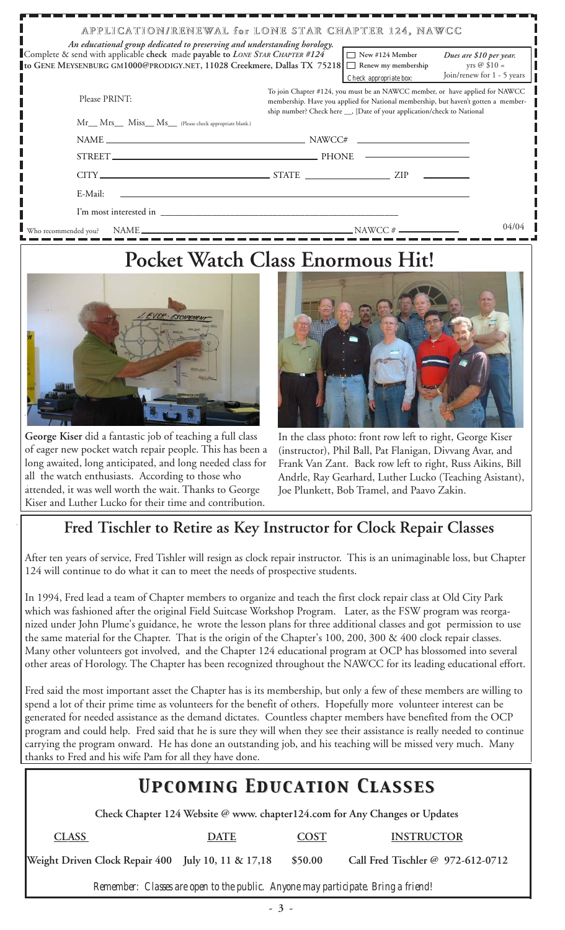| An educational group dedicated to preserving and understanding horology.<br>Complete & send with applicable check made payable to LONE STAR CHAPTER #124<br>to GENE MEYSENBURG GM1000@PRODIGY.NET, 11028 Creekmere, Dallas TX 75218 $\Box$ Renew my membership | APPLICATION/RENEWAL for LONE STAR CHAPTER 124, NAWCC<br>$\Box$ New #124 Member<br>Dues are \$10 per year.<br>yrs @ $$10 =$<br>Join/renew for 1 - 5 years<br>Check appropriate box:                                                            |
|----------------------------------------------------------------------------------------------------------------------------------------------------------------------------------------------------------------------------------------------------------------|-----------------------------------------------------------------------------------------------------------------------------------------------------------------------------------------------------------------------------------------------|
| Please PRINT:<br>Mr__ Mrs__ Miss__ Ms__ (Please check appropriate blank.)                                                                                                                                                                                      | To join Chapter #124, you must be an NAWCC member, or have applied for NAWCC<br>membership. Have you applied for National membership, but haven't gotten a member-<br>ship number? Check here __, [Date of your application/check to National |
|                                                                                                                                                                                                                                                                |                                                                                                                                                                                                                                               |
|                                                                                                                                                                                                                                                                |                                                                                                                                                                                                                                               |
|                                                                                                                                                                                                                                                                |                                                                                                                                                                                                                                               |
| E-Mail:                                                                                                                                                                                                                                                        |                                                                                                                                                                                                                                               |
|                                                                                                                                                                                                                                                                |                                                                                                                                                                                                                                               |
| Who recommended you?                                                                                                                                                                                                                                           | 04/04<br>NAME                                                                                                                                                                                                                                 |

# **Pocket Watch Class Enormous Hit!**



**George Kiser** did a fantastic job of teaching a full class of eager new pocket watch repair people. This has been a long awaited, long anticipated, and long needed class for all the watch enthusiasts. According to those who attended, it was well worth the wait. Thanks to George Kiser and Luther Lucko for their time and contribution.



In the class photo: front row left to right, George Kiser (instructor), Phil Ball, Pat Flanigan, Divvang Avar, and Frank Van Zant. Back row left to right, Russ Aikins, Bill Andrle, Ray Gearhard, Luther Lucko (Teaching Asistant), Joe Plunkett, Bob Tramel, and Paavo Zakin.

### **Fred Tischler to Retire as Key Instructor for Clock Repair Classes**

After ten years of service, Fred Tishler will resign as clock repair instructor. This is an unimaginable loss, but Chapter 124 will continue to do what it can to meet the needs of prospective students.

In 1994, Fred lead a team of Chapter members to organize and teach the first clock repair class at Old City Park which was fashioned after the original Field Suitcase Workshop Program. Later, as the FSW program was reorganized under John Plume's guidance, he wrote the lesson plans for three additional classes and got permission to use the same material for the Chapter. That is the origin of the Chapter's 100, 200, 300 & 400 clock repair classes. Many other volunteers got involved, and the Chapter 124 educational program at OCP has blossomed into several other areas of Horology. The Chapter has been recognized throughout the NAWCC for its leading educational effort.

Fred said the most important asset the Chapter has is its membership, but only a few of these members are willing to spend a lot of their prime time as volunteers for the benefit of others. Hopefully more volunteer interest can be generated for needed assistance as the demand dictates. Countless chapter members have benefited from the OCP program and could help. Fred said that he is sure they will when they see their assistance is really needed to continue carrying the program onward. He has done an outstanding job, and his teaching will be missed very much. Many thanks to Fred and his wife Pam for all they have done.

### *Upcoming Education Classes Upcoming Education Classes*

 **Check Chapter 124 Website @ www. chapter124.com for Any Changes or Updates**

 **CLASS DATE COST INSTRUCTOR**

**Weight Driven Clock Repair 400 July 10, 11 & 17,18 \$50.00 Call Fred Tischler @ 972-612-0712**

*Remember: Classes are open to the public. Anyone may participate. Bring a friend!*